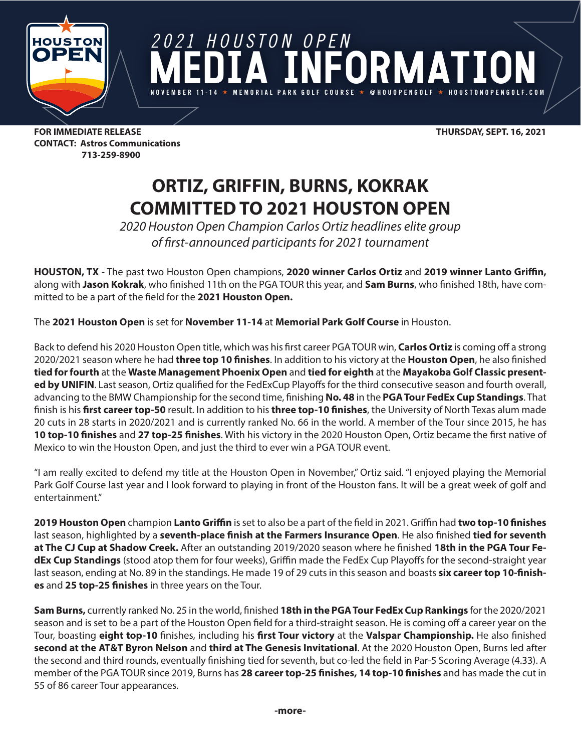

*2021 HOUSTON OPEN* DRIMATI **MEMORIAL PARK GOLF** 

**FOR IMMEDIATE RELEASE THURSDAY, SEPT. 16, 2021 CONTACT: Astros Communications 713-259-8900**

## **ORTIZ, GRIFFIN, BURNS, KOKRAK COMMITTED TO 2021 HOUSTON OPEN**

*2020 Houston Open Champion Carlos Ortiz headlines elite group of first-announced participants for 2021 tournament* 

**HOUSTON, TX** - The past two Houston Open champions, **2020 winner Carlos Ortiz** and **2019 winner Lanto Griffin,**  along with **Jason Kokrak**, who finished 11th on the PGA TOUR this year, and **Sam Burns**, who finished 18th, have committed to be a part of the field for the **2021 Houston Open.**

The **2021 Houston Open** is set for **November 11-14** at **Memorial Park Golf Course** in Houston.

Back to defend his 2020 Houston Open title, which was his first career PGA TOUR win, **Carlos Ortiz** is coming off a strong 2020/2021 season where he had **three top 10 finishes**. In addition to his victory at the **Houston Open**, he also finished **tied for fourth** at the **Waste Management Phoenix Open** and **tied for eighth** at the **Mayakoba Golf Classic presented by UNIFIN**. Last season, Ortiz qualified for the FedExCup Playoffs for the third consecutive season and fourth overall, advancing to the BMW Championship for the second time, finishing **No. 48** in the **PGA Tour FedEx Cup Standings**. That finish is his **first career top-50** result. In addition to his **three top-10 finishes**, the University of North Texas alum made 20 cuts in 28 starts in 2020/2021 and is currently ranked No. 66 in the world. A member of the Tour since 2015, he has **10 top-10 finishes** and **27 top-25 finishes**. With his victory in the 2020 Houston Open, Ortiz became the first native of Mexico to win the Houston Open, and just the third to ever win a PGA TOUR event.

"I am really excited to defend my title at the Houston Open in November," Ortiz said. "I enjoyed playing the Memorial Park Golf Course last year and I look forward to playing in front of the Houston fans. It will be a great week of golf and entertainment."

**2019 Houston Open** champion **Lanto Griffin** is set to also be a part of the field in 2021. Griffin had **two top-10 finishes**  last season, highlighted by a **seventh-place finish at the Farmers Insurance Open**. He also finished **tied for seventh at The CJ Cup at Shadow Creek.** After an outstanding 2019/2020 season where he finished **18th in the PGA Tour FedEx Cup Standings** (stood atop them for four weeks), Griffin made the FedEx Cup Playoffs for the second-straight year last season, ending at No. 89 in the standings. He made 19 of 29 cuts in this season and boasts **six career top 10-finishes** and **25 top-25 finishes** in three years on the Tour.

**Sam Burns,** currently ranked No. 25 in the world, finished **18th in the PGA Tour FedEx Cup Rankings** for the 2020/2021 season and is set to be a part of the Houston Open field for a third-straight season. He is coming off a career year on the Tour, boasting **eight top-10** finishes, including his **first Tour victory** at the **Valspar Championship.** He also finished **second at the AT&T Byron Nelson** and **third at The Genesis Invitational**. At the 2020 Houston Open, Burns led after the second and third rounds, eventually finishing tied for seventh, but co-led the field in Par-5 Scoring Average (4.33). A member of the PGA TOUR since 2019, Burns has **28 career top-25 finishes, 14 top-10 finishes** and has made the cut in 55 of 86 career Tour appearances.